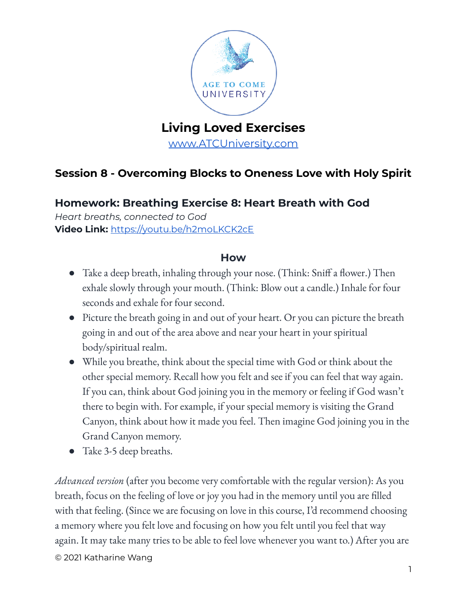

# **Living Loved Exercises**

[www.ATCUniversity.com](http://www.atcuniversity.com)

## **Session 8 - Overcoming Blocks to Oneness Love with Holy Spirit**

## **Homework: Breathing Exercise 8: Heart Breath with God**

*Heart breaths, connected to God* **Video Link:** <https://youtu.be/h2moLKCK2cE>

#### **How**

- Take a deep breath, inhaling through your nose. (Think: Sniff a flower.) Then exhale slowly through your mouth. (Think: Blow out a candle.) Inhale for four seconds and exhale for four second.
- Picture the breath going in and out of your heart. Or you can picture the breath going in and out of the area above and near your heart in your spiritual body/spiritual realm.
- While you breathe, think about the special time with God or think about the other special memory. Recall how you felt and see if you can feel that way again. If you can, think about God joining you in the memory or feeling if God wasn't there to begin with. For example, if your special memory is visiting the Grand Canyon, think about how it made you feel. Then imagine God joining you in the Grand Canyon memory.
- Take 3-5 deep breaths.

*Advanced version* (after you become very comfortable with the regular version): As you breath, focus on the feeling of love or joy you had in the memory until you are filled with that feeling. (Since we are focusing on love in this course, I'd recommend choosing a memory where you felt love and focusing on how you felt until you feel that way again. It may take many tries to be able to feel love whenever you want to.) After you are © 2021 Katharine Wang